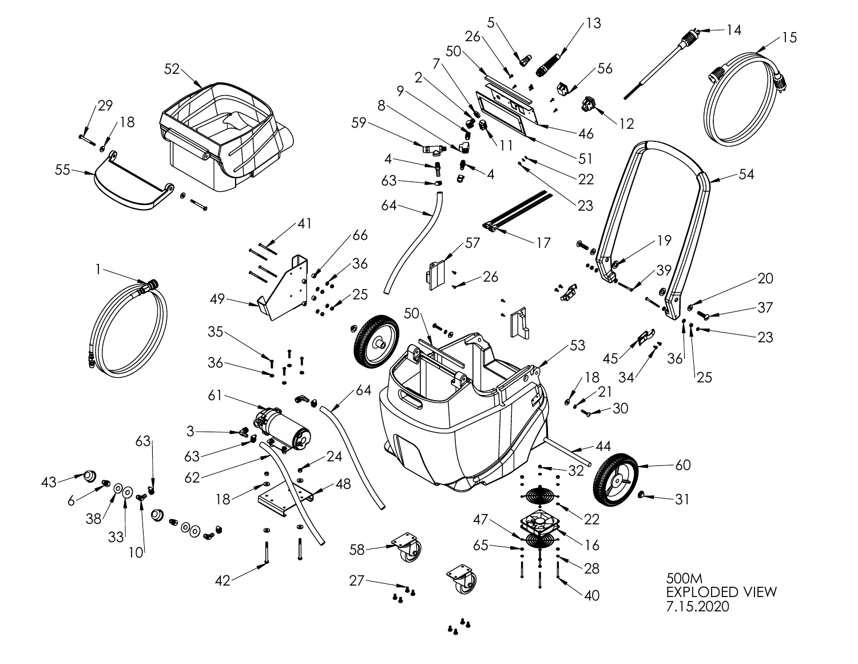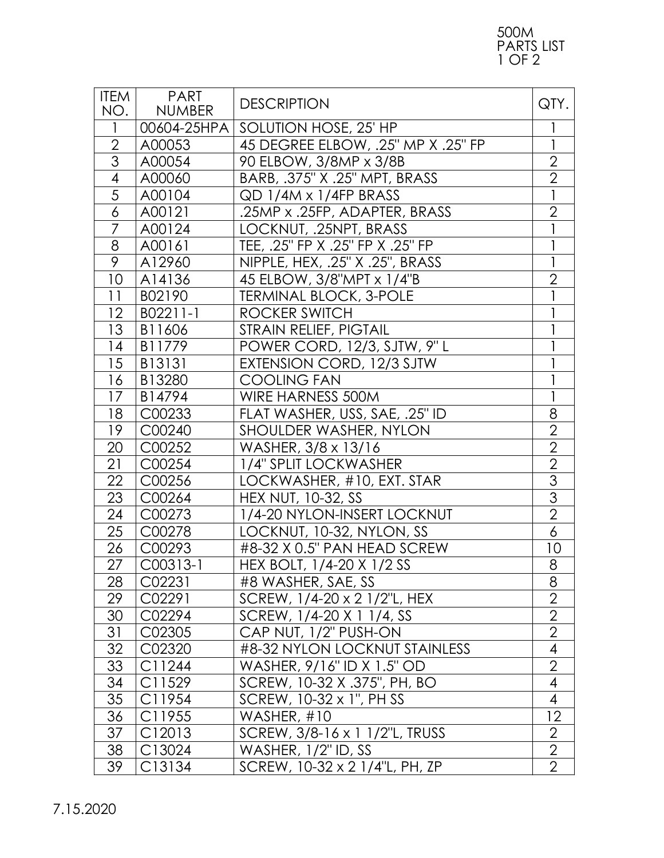## 500M PARTS LIST 1 OF 2

| <b>ITEM</b><br>NO. | <b>PART</b><br><b>NUMBER</b> | <b>DESCRIPTION</b>                 | QTY.           |
|--------------------|------------------------------|------------------------------------|----------------|
| $\mathbf{1}$       | 00604-25HPA                  | SOLUTION HOSE, 25' HP              |                |
| $\overline{2}$     | A00053                       | 45 DEGREE ELBOW, .25" MP X .25" FP |                |
| $\overline{3}$     | A00054                       | 90 ELBOW, 3/8MP x 3/8B             | $\overline{2}$ |
| $\overline{4}$     | A00060                       | BARB, .375" X .25" MPT, BRASS      | $\overline{2}$ |
| $\overline{5}$     | A00104                       | QD 1/4M x 1/4FP BRASS              |                |
| $\delta$           | A00121                       | .25MP x .25FP, ADAPTER, BRASS      | $\overline{2}$ |
| $\overline{7}$     | A00124                       | LOCKNUT, .25NPT, BRASS             |                |
| 8                  | A00161                       | TEE, .25" FP X .25" FP X .25" FP   |                |
| $\overline{9}$     | A12960                       | NIPPLE, HEX, .25" X .25", BRASS    |                |
| 10                 | A14136                       | 45 ELBOW, 3/8"MPT x 1/4"B          | $\overline{2}$ |
| 11                 | B02190                       | <b>TERMINAL BLOCK, 3-POLE</b>      |                |
| 12                 | B02211-1                     | ROCKER SWITCH                      |                |
| 13                 | B11606                       | STRAIN RELIEF, PIGTAIL             |                |
| 14                 | B11779                       | POWER CORD, 12/3, SJTW, 9"L        |                |
| 15                 | B13131                       | EXTENSION CORD, 12/3 SJTW          |                |
| 16                 | B13280                       | <b>COOLING FAN</b>                 |                |
| 17                 | B14794                       | WIRE HARNESS 500M                  |                |
| 18                 | C00233                       | FLAT WASHER, USS, SAE, .25" ID     | 8              |
| 19                 | C00240                       | SHOULDER WASHER, NYLON             | $\overline{2}$ |
| 20                 | C00252                       | WASHER, 3/8 x 13/16                | $\overline{2}$ |
| 21                 | C00254                       | 1/4" SPLIT LOCKWASHER              | $\overline{2}$ |
| 22                 | C00256                       | LOCKWASHER, #10, EXT. STAR         | $\overline{3}$ |
| 23                 | C00264                       | <b>HEX NUT, 10-32, SS</b>          | $\overline{3}$ |
| 24                 | C00273                       | 1/4-20 NYLON-INSERT LOCKNUT        | $\overline{2}$ |
| 25                 | C00278                       | LOCKNUT, 10-32, NYLON, SS          | 6              |
| 26                 | C00293                       | #8-32 X 0.5" PAN HEAD SCREW        | 10             |
| 27                 | $C00313-1$                   | HEX BOLT, 1/4-20 X 1/2 SS          | 8              |
| 28                 | C02231                       | #8 WASHER, SAE, SS                 | 8              |
| 29                 | C02291                       | SCREW, 1/4-20 x 2 1/2"L, HEX       | $\overline{2}$ |
| 30                 | C02294                       | SCREW, 1/4-20 X 1 1/4, SS          | $\overline{2}$ |
| 31                 | C02305                       | CAP NUT, 1/2" PUSH-ON              | $\overline{2}$ |
| 32                 | C02320                       | #8-32 NYLON LOCKNUT STAINLESS      | $\overline{4}$ |
| 33                 | C11244                       | WASHER, 9/16" ID X 1.5" OD         | $\overline{2}$ |
| 34                 | C11529                       | SCREW, 10-32 X .375", PH, BO       | $\overline{4}$ |
| 35                 | C11954                       | SCREW, 10-32 x 1", PH SS           | $\overline{4}$ |
| 36                 | C11955                       | WASHER, #10                        | 12             |
| 37                 | C12013                       | SCREW, 3/8-16 x 1 1/2"L, TRUSS     | $\overline{2}$ |
| 38                 | C13024                       | WASHER, 1/2" ID, SS                | $\overline{2}$ |
| 39                 | C13134                       | SCREW, 10-32 x 2 1/4"L, PH, ZP     | $\overline{2}$ |